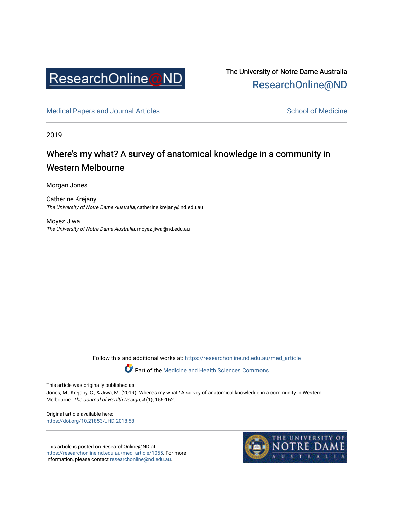

The University of Notre Dame Australia [ResearchOnline@ND](https://researchonline.nd.edu.au/) 

[Medical Papers and Journal Articles](https://researchonline.nd.edu.au/med_article) and School of Medicine

2019

## Where's my what? A survey of anatomical knowledge in a community in Western Melbourne

Morgan Jones

Catherine Krejany The University of Notre Dame Australia, catherine.krejany@nd.edu.au

Moyez Jiwa The University of Notre Dame Australia, moyez.jiwa@nd.edu.au

Follow this and additional works at: [https://researchonline.nd.edu.au/med\\_article](https://researchonline.nd.edu.au/med_article?utm_source=researchonline.nd.edu.au%2Fmed_article%2F1055&utm_medium=PDF&utm_campaign=PDFCoverPages) 

**Part of the [Medicine and Health Sciences Commons](http://network.bepress.com/hgg/discipline/648?utm_source=researchonline.nd.edu.au%2Fmed_article%2F1055&utm_medium=PDF&utm_campaign=PDFCoverPages)** 

This article was originally published as:

Jones, M., Krejany, C., & Jiwa, M. (2019). Where's my what? A survey of anatomical knowledge in a community in Western Melbourne. The Journal of Health Design, 4 (1), 156-162.

Original article available here: <https://doi.org/10.21853/JHD.2018.58>

This article is posted on ResearchOnline@ND at [https://researchonline.nd.edu.au/med\\_article/1055.](https://researchonline.nd.edu.au/med_article/1055) For more information, please contact [researchonline@nd.edu.au.](mailto:researchonline@nd.edu.au)

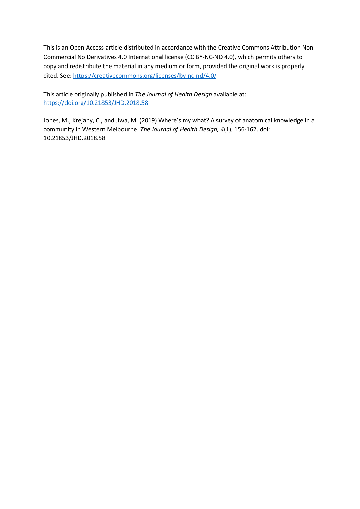This is an Open Access article distributed in accordance with the Creative Commons Attribution Non-Commercial No Derivatives 4.0 International license (CC BY-NC-ND 4.0), which permits others to copy and redistribute the material in any medium or form, provided the original work is properly cited. See:<https://creativecommons.org/licenses/by-nc-nd/4.0/>

This article originally published in *The Journal of Health Design* available at: [https://doi.org/1](https://doi.org/)0.21853/JHD.2018.58

Jones, M., Krejany, C., and Jiwa, M. (2019) Where's my what? A survey of anatomical knowledge in a community in Western Melbourne. *The Journal of Health Design, 4*(1), 156-162. doi: 10.21853/JHD.2018.58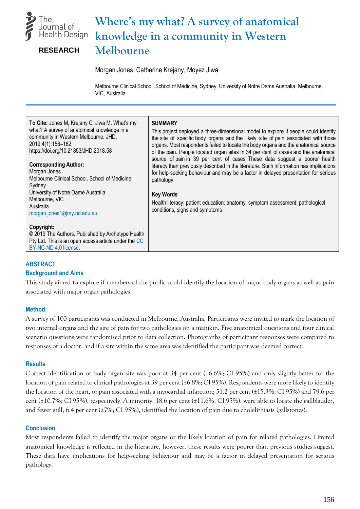

# **Where's my what? A survey of anatomical knowledge in a community in Western Melbourne**

**RESEARCH**

Morgan Jones, Catherine Krejany, Moyez Jiwa

Melbourne Clinical School, School of Medicine, Sydney, University of Notre Dame Australia, Melbourne, VIC, Australia

| To Cite: Jones M, Krejany C, Jiwa M. What's my<br>what? A survey of anatomical knowledge in a<br>community in Western Melbourne. JHD.<br>2019;4(1):156-162.<br>https://doi.org/10.21853/JHD.2018.58<br><b>Corresponding Author:</b><br>Morgan Jones<br>Melbourne Clinical School, School of Medicine,<br>Sydney<br>University of Notre Dame Australia<br>Melbourne, VIC<br>Australia<br>morgan.jones1@my.nd.edu.au | <b>SUMMARY</b><br>This project deployed a three-dimensional model to explore if people could identify<br>the site of specific body organs and the likely site of pain associated with those<br>organs. Most respondents failed to locate the body organs and the anatomical source<br>of the pain. People located organ sites in 34 per cent of cases and the anatomical<br>source of pain in 39 per cent of cases. These data suggest a poorer health<br>literacy than previously described in the literature. Such information has implications<br>for help-seeking behaviour and may be a factor in delayed presentation for serious<br>pathology.<br><b>Key Words</b><br>Health literacy; patient education; anatomy; symptom assessment; pathological<br>conditions, signs and symptoms |
|--------------------------------------------------------------------------------------------------------------------------------------------------------------------------------------------------------------------------------------------------------------------------------------------------------------------------------------------------------------------------------------------------------------------|----------------------------------------------------------------------------------------------------------------------------------------------------------------------------------------------------------------------------------------------------------------------------------------------------------------------------------------------------------------------------------------------------------------------------------------------------------------------------------------------------------------------------------------------------------------------------------------------------------------------------------------------------------------------------------------------------------------------------------------------------------------------------------------------|
| Copyright:<br>© 2019 The Authors. Published by Archetype Health<br>Pty Ltd. This is an open access article under the CC<br>BY-NC-ND 4.0 license.                                                                                                                                                                                                                                                                   |                                                                                                                                                                                                                                                                                                                                                                                                                                                                                                                                                                                                                                                                                                                                                                                              |

### **ABSTRACT**

### **Background and Aims**

This study aimed to explore if members of the public could identify the location of major body organs as well as pain associated with major organ pathologies.

### **Method**

A survey of 100 participants was conducted in Melbourne, Australia. Participants were invited to mark the location of two internal organs and the site of pain for two pathologies on a manikin. Five anatomical questions and four clinical scenario questions were randomised prior to data collection. Photographs of participant responses were compared to responses of a doctor, and if a site within the same area was identified the participant was deemed correct.

#### **Results**

Correct identification of body organ site was poor at 34 per cent (±6.6%; CI 95%) and only slightly better for the location of pain related to clinical pathologies at 39 percent (±6.8%; CI 95%). Respondents were more likely to identify the location of the heart, or pain associated with a myocardial infarction; 51.2 per cent (±15.3%; CI 95%) and 79.6 per cent (±10.7%; CI 95%), respectively. A minority, 18.6 per cent (±11.6%; CI 95%), were able to locate the gallbladder, and fewer still, 6.4 per cent (±7%; CI 95%), identified the location of pain due to cholelithiasis (gallstones).

### **Conclusion**

Most respondents failed to identify the major organs or the likely location of pain for related pathologies. Limited anatomical knowledge is reflected in the literature, however, these results were poorer than previous studies suggest. These data have implications for help-seeking behaviour and may be a factor in delayed presentation for serious pathology.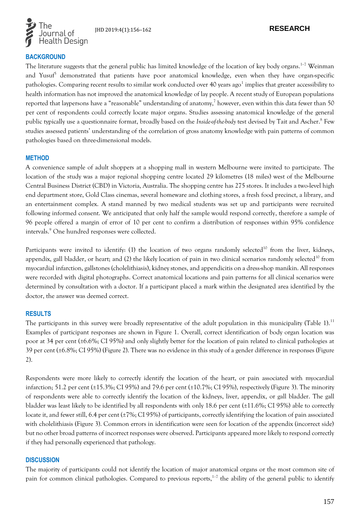

### **BACKGROUND**

The literature suggests that the general public has limited knowledge of the location of key body organs.<sup>1-7</sup> Weinman and Yusuf<sup>5</sup> demonstrated that patients have poor anatomical knowledge, even when they have organ-specific pathologies. Comparing recent results to similar work conducted over 40 years ago<sup>1</sup> implies that greater accessibility to health information has not improved the anatomical knowledge of lay people. A recent study of European populations reported that laypersons have a "reasonable" understanding of anatomy,<sup>7</sup> however, even within this data fewer than 50 per cent of respondents could correctly locate major organs. Studies assessing anatomical knowledge of the general public typically use a questionnaire format, broadly based on the *Inside-of-the-body* test devised by Tait and Ascher. 8 Few studies assessed patients' understanding of the correlation of gross anatomy knowledge with pain patterns of common pathologies based on three-dimensional models.

#### **METHOD**

A convenience sample of adult shoppers at a shopping mall in western Melbourne were invited to participate. The location of the study was a major regional shopping centre located 29 kilometres (18 miles) west of the Melbourne Central Business District (CBD) in Victoria, Australia. The shopping centre has 275 stores. It includes a two-level high end department store, Gold Class cinemas, several homeware and clothing stores, a fresh food precinct, a library, and an entertainment complex. A stand manned by two medical students was set up and participants were recruited following informed consent. We anticipated that only half the sample would respond correctly, therefore a sample of 96 people offered a margin of error of 10 per cent to confirm a distribution of responses within 95% confidence intervals.<sup>9</sup> One hundred responses were collected.

Participants were invited to identify: (1) the location of two organs randomly selected<sup>10</sup> from the liver, kidneys, appendix, gall bladder, or heart; and (2) the likely location of pain in two clinical scenarios randomly selected<sup>10</sup> from myocardial infarction, gallstones (cholelithiasis), kidney stones, and appendicitis on a dress-shop manikin. All responses were recorded with digital photographs. Correct anatomical locations and pain patterns for all clinical scenarios were determined by consultation with a doctor. If a participant placed a mark within the designated area identified by the doctor, the answer was deemed correct.

#### **RESULTS**

The participants in this survey were broadly representative of the adult population in this municipality (Table 1).<sup>11</sup> Examples of participant responses are shown in Figure 1. Overall, correct identification of body organ location was poor at 34 per cent (±6.6%; CI 95%) and only slightly better for the location of pain related to clinical pathologies at 39 per cent (±6.8%; CI 95%) (Figure 2). There was no evidence in this study of a gender difference in responses (Figure 2).

Respondents were more likely to correctly identify the location of the heart, or pain associated with myocardial infarction; 51.2 per cent ( $\pm$ 15.3%; CI 95%) and 79.6 per cent ( $\pm$ 10.7%; CI 95%), respectively (Figure 3). The minority of respondents were able to correctly identify the location of the kidneys, liver, appendix, or gall bladder. The gall bladder was least likely to be identified by all respondents with only 18.6 per cent (±11.6%; CI 95%) able to correctly locate it, and fewer still, 6.4 per cent (±7%; CI 95%) of participants, correctly identifying the location of pain associated with cholelithiasis (Figure 3). Common errors in identification were seen for location of the appendix (incorrect side) but no other broad patterns of incorrect responses were observed. Participants appeared more likely to respond correctly if they had personally experienced that pathology.

#### **DISCUSSION**

The majority of participants could not identify the location of major anatomical organs or the most common site of pain for common clinical pathologies. Compared to previous reports,<sup>1-7</sup> the ability of the general public to identify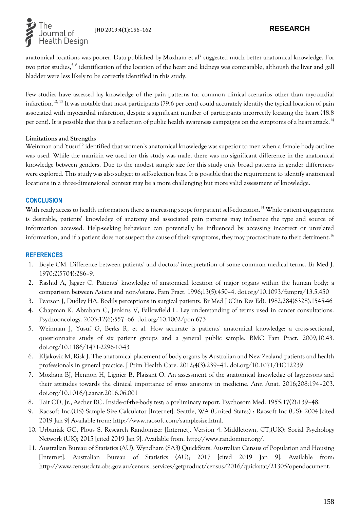

anatomical locations was poorer. Data published by Moxham et al<sup>7</sup> suggested much better anatomical knowledge. For two prior studies,<sup>5,6</sup> identification of the location of the heart and kidneys was comparable, although the liver and gall bladder were less likely to be correctly identified in this study.

Few studies have assessed lay knowledge of the pain patterns for common clinical scenarios other than myocardial infarction.<sup>12, 13</sup> It was notable that most participants (79.6 per cent) could accurately identify the typical location of pain associated with myocardial infarction, despite a significant number of participants incorrectly locating the heart (48.8 per cent). It is possible that this is a reflection of public health awareness campaigns on the symptoms of a heart attack.<sup>14</sup>

### **Limitations and Strengths**

Weinman and Yusuf<sup>5</sup> identified that women's anatomical knowledge was superior to men when a female body outline was used. While the manikin we used for this study was male, there was no significant difference in the anatomical knowledge between genders. Due to the modest sample size for this study only broad patterns in gender differences were explored. This study was also subject to self-selection bias. It is possible that the requirement to identify anatomical locations in a three-dimensional context may be a more challenging but more valid assessment of knowledge.

### **CONCLUSION**

With ready access to health information there is increasing scope for patient self-education.<sup>15</sup> While patient engagement is desirable, patients' knowledge of anatomy and associated pain patterns may influence the type and source of information accessed. Help-seeking behaviour can potentially be influenced by accessing incorrect or unrelated information, and if a patient does not suspect the cause of their symptoms, they may procrastinate to their detriment.<sup>16</sup>

#### **REFERENCES**

- 1. Boyle CM. Difference between patients' and doctors' interpretation of some common medical terms. Br Med J. 1970;2(5704):286–9.
- 2. Rashid A, Jagger C. Patients' knowledge of anatomical location of major organs within the human body: a comparison between Asians and non-Asians. Fam Pract. 1996;13(5):450–4. [doi.org/10.1093/fampra/13.5.450](https://doi.org/10.1093/fampra/13.5.450)
- 3. Pearson J, Dudley HA. Bodily perceptions in surgical patients. Br Med J (Clin Res Ed). 1982;284(6328):1545-46
- 4. Chapman K, Abraham C, Jenkins V, Fallowfield L. Lay understanding of terms used in cancer consultations. Psychooncology. 2003;12(6):557–66. doi.org/10.1002/pon.673
- 5. Weinman J, Yusuf G, Berks R, et al. How accurate is patients' anatomical knowledge: a cross-sectional, questionnaire study of six patient groups and a general public sample. BMC Fam Pract. 2009;10:43. [doi.org/10.1186/1471-2296-10-43](https://doi.org/10.1186/1471-2296-10-43)
- 6. Kljakovic M, Risk J. The anatomical placement of body organs by Australian and New Zealand patients and health professionals in general practice. J Prim Health Care. 2012;4(3):239–41. doi.org/10.1071/HC12239
- 7. Moxham BJ, Hennon H, Lignier B, Plaisant O. An assessment of the anatomical knowledge of laypersons and their attitudes towards the clinical importance of gross anatomy in medicine. Ann Anat. 2016;208:194–203. [doi.org/10.1016/j.aanat.2016.06.001](https://doi.org/10.1016/j.aanat.2016.06.001)
- 8. Tait CD, Jr., Ascher RC. Inside-of-the-body test; a preliminary report. Psychosom Med. 1955;17(2):139–48.
- 9. Raosoft Inc.(US) Sample Size Calculator [Internet]. Seattle, WA (United States) : Raosoft Inc (US); 2004 [cited 2019 Jan 9] Available from: http://www.raosoft.com/samplesize.html.
- 10. Urbaniak GC, Plous S. Research Randomizer [Internet]. Version 4. Middletown, CT,(UK): Social Psychology Network (UK); 2015 [cited 2019 Jan 9]. Available from: http://www.randomizer.org/.
- 11. Australian Bureau of Statistics (AU). Wyndham (SA3) QuickStats. Australian Census of Population and Housing [Internet]. Australian Bureau of Statistics (AU); 2017 [cited 2019 Jan 9]. Available from: http://www.censusdata.abs.gov.au/census\_services/getproduct/census/2016/quickstat/21305?opendocument.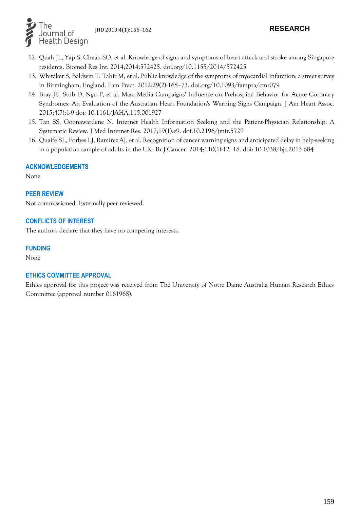

- 12. Quah JL, Yap S, Cheah SO, et al. Knowledge of signs and symptoms of heart attack and stroke among Singapore residents. Biomed Res Int. 2014;2014:572425. doi.org/10.1155/2014/572425
- 13. Whitaker S, Baldwin T, Tahir M, et al. Public knowledge of the symptoms of myocardial infarction: a street survey in Birmingham, England. Fam Pract. 2012;29(2):168–73. [doi.org/10.1093/fampra/cmr079](https://doi.org/10.1093/fampra/cmr079)
- 14. Bray JE, Stub D, Ngu P, et al. Mass Media Campaigns' Influence on Prehospital Behavior for Acute Coronary Syndromes: An Evaluation of the Australian Heart Foundation's Warning Signs Campaign. J Am Heart Assoc. 2015;4(7):1-9 doi: [10.1161/JAHA.115.001927](https://dx.doi.org/10.1161%2FJAHA.115.001927)
- 15. Tan SS, Goonawardene N. Internet Health Information Seeking and the Patient-Physician Relationship: A Systematic Review. J Med Internet Res. 2017;19(1):e9. doi[:10.2196/jmir.5729](https://dx.doi.org/10.2196%2Fjmir.5729)
- 16. Quaife SL, Forbes LJ, Ramirez AJ, et al. Recognition of cancer warning signs and anticipated delay in help-seeking in a population sample of adults in the UK. Br J Cancer. 2014;110(1):12–18. doi: 10.1038/bjc.2013.684

### **ACKNOWLEDGEMENTS**

None

### **PEER REVIEW**

Not commissioned. Externally peer reviewed.

### **CONFLICTS OF INTEREST**

The authors declare that they have no competing interests.

#### **FUNDING**

None

### **ETHICS COMMITTEE APPROVAL**

Ethics approval for this project was received from The University of Notre Dame Australia Human Research Ethics Committee (approval number 016196S).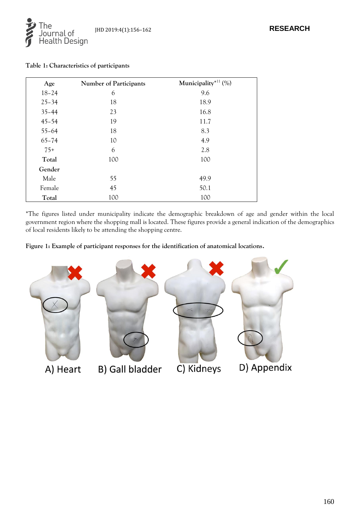

| Age       | Number of Participants | Municipality <sup>*11</sup> (%) |
|-----------|------------------------|---------------------------------|
| $18 - 24$ | 6                      | 9.6                             |
| $25 - 34$ | 18                     | 18.9                            |
| $35 - 44$ | 23                     | 16.8                            |
| $45 - 54$ | 19                     | 11.7                            |
| $55 - 64$ | 18                     | 8.3                             |
| $65 - 74$ | 10                     | 4.9                             |
| $75+$     | 6                      | 2.8                             |
| Total     | 100                    | 100                             |
| Gender    |                        |                                 |
| Male      | 55                     | 49.9                            |
| Female    | 45                     | 50.1                            |
| Total     | 100                    | 100                             |

**Table 1: Characteristics of participants**

\*The figures listed under municipality indicate the demographic breakdown of age and gender within the local government region where the shopping mall is located. These figures provide a general indication of the demographics of local residents likely to be attending the shopping centre.

**Figure 1: Example of participant responses for the identification of anatomical locations.**

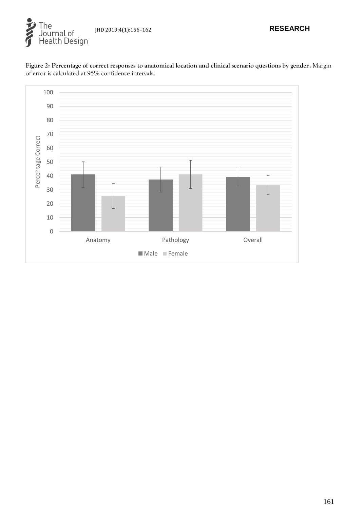



**Figure 2: Percentage of correct responses to anatomical location and clinical scenario questions by gender.** Margin of error is calculated at 95% confidence intervals.